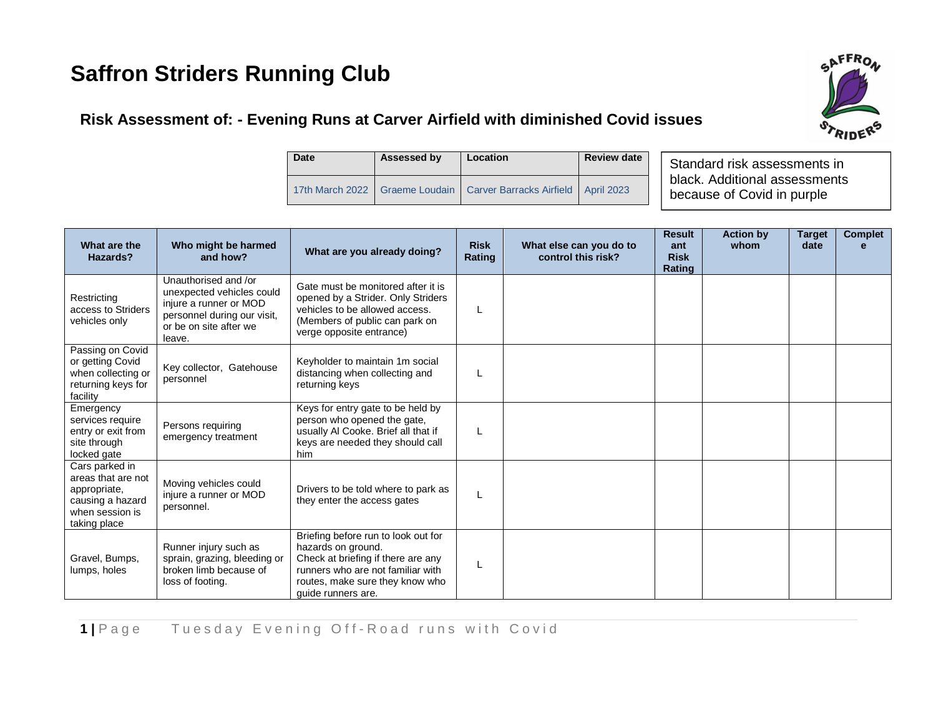## **Saffron Striders Running Club**

# **AFFROA**

### **Risk Assessment of: - Evening Runs at Carver Airfield with diminished Covid issues**

| Date | Assessed by | Location                                                                 | <b>Review date</b> |
|------|-------------|--------------------------------------------------------------------------|--------------------|
|      |             | 17th March 2022   Graeme Loudain   Carver Barracks Airfield   April 2023 |                    |

Standard risk assessments in black. Additional assessments because of Covid in purple

| What are the<br>Hazards?                                                                                    | Who might be harmed<br>and how?                                                                                                                | What are you already doing?                                                                                                                                                                   | <b>Risk</b><br>Rating | What else can you do to<br>control this risk? | <b>Result</b><br>ant<br><b>Risk</b><br>Rating | <b>Action by</b><br>whom | <b>Target</b><br>date | <b>Complet</b><br>e |
|-------------------------------------------------------------------------------------------------------------|------------------------------------------------------------------------------------------------------------------------------------------------|-----------------------------------------------------------------------------------------------------------------------------------------------------------------------------------------------|-----------------------|-----------------------------------------------|-----------------------------------------------|--------------------------|-----------------------|---------------------|
| Restricting<br>access to Striders<br>vehicles only                                                          | Unauthorised and /or<br>unexpected vehicles could<br>injure a runner or MOD<br>personnel during our visit,<br>or be on site after we<br>leave. | Gate must be monitored after it is<br>opened by a Strider. Only Striders<br>vehicles to be allowed access.<br>(Members of public can park on<br>verge opposite entrance)                      | L                     |                                               |                                               |                          |                       |                     |
| Passing on Covid<br>or getting Covid<br>when collecting or<br>returning keys for<br>facility                | Key collector, Gatehouse<br>personnel                                                                                                          | Keyholder to maintain 1m social<br>distancing when collecting and<br>returning keys                                                                                                           |                       |                                               |                                               |                          |                       |                     |
| Emergency<br>services require<br>entry or exit from<br>site through<br>locked gate                          | Persons requiring<br>emergency treatment                                                                                                       | Keys for entry gate to be held by<br>person who opened the gate,<br>usually Al Cooke. Brief all that if<br>keys are needed they should call<br>him                                            | L                     |                                               |                                               |                          |                       |                     |
| Cars parked in<br>areas that are not<br>appropriate,<br>causing a hazard<br>when session is<br>taking place | Moving vehicles could<br>injure a runner or MOD<br>personnel.                                                                                  | Drivers to be told where to park as<br>they enter the access gates                                                                                                                            | L                     |                                               |                                               |                          |                       |                     |
| Gravel, Bumps,<br>lumps, holes                                                                              | Runner injury such as<br>sprain, grazing, bleeding or<br>broken limb because of<br>loss of footing.                                            | Briefing before run to look out for<br>hazards on ground.<br>Check at briefing if there are any<br>runners who are not familiar with<br>routes, make sure they know who<br>quide runners are. | L                     |                                               |                                               |                          |                       |                     |

**1** | Page Tuesday Evening Off-Road runs with Covid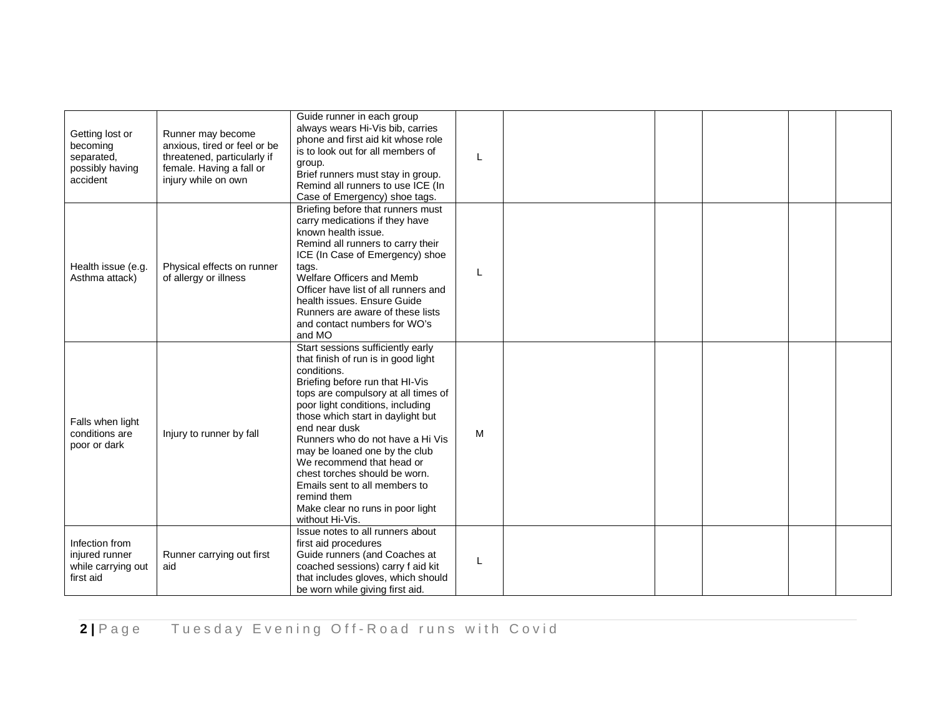| Getting lost or<br>becoming<br>separated,<br>possibly having<br>accident | Runner may become<br>anxious, tired or feel or be<br>threatened, particularly if<br>female. Having a fall or<br>injury while on own | Guide runner in each group<br>always wears Hi-Vis bib, carries<br>phone and first aid kit whose role<br>is to look out for all members of<br>group.<br>Brief runners must stay in group.<br>Remind all runners to use ICE (In<br>Case of Emergency) shoe tags.                                                                                                                                                                                                                                        | L |  |  |  |
|--------------------------------------------------------------------------|-------------------------------------------------------------------------------------------------------------------------------------|-------------------------------------------------------------------------------------------------------------------------------------------------------------------------------------------------------------------------------------------------------------------------------------------------------------------------------------------------------------------------------------------------------------------------------------------------------------------------------------------------------|---|--|--|--|
| Health issue (e.g.<br>Asthma attack)                                     | Physical effects on runner<br>of allergy or illness                                                                                 | Briefing before that runners must<br>carry medications if they have<br>known health issue.<br>Remind all runners to carry their<br>ICE (In Case of Emergency) shoe<br>tags.<br>Welfare Officers and Memb<br>Officer have list of all runners and<br>health issues. Ensure Guide<br>Runners are aware of these lists<br>and contact numbers for WO's<br>and MO                                                                                                                                         | L |  |  |  |
| Falls when light<br>conditions are<br>poor or dark                       | Injury to runner by fall                                                                                                            | Start sessions sufficiently early<br>that finish of run is in good light<br>conditions.<br>Briefing before run that HI-Vis<br>tops are compulsory at all times of<br>poor light conditions, including<br>those which start in daylight but<br>end near dusk<br>Runners who do not have a Hi Vis<br>may be loaned one by the club<br>We recommend that head or<br>chest torches should be worn.<br>Emails sent to all members to<br>remind them<br>Make clear no runs in poor light<br>without Hi-Vis. | M |  |  |  |
| Infection from<br>injured runner<br>while carrying out<br>first aid      | Runner carrying out first<br>aid                                                                                                    | Issue notes to all runners about<br>first aid procedures<br>Guide runners (and Coaches at<br>coached sessions) carry f aid kit<br>that includes gloves, which should<br>be worn while giving first aid.                                                                                                                                                                                                                                                                                               | L |  |  |  |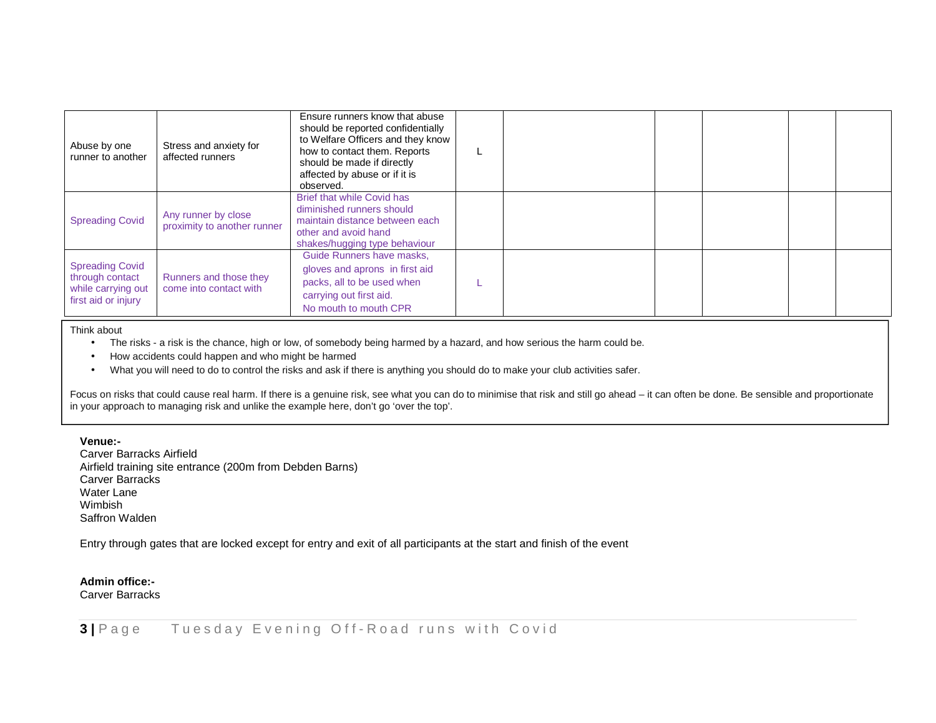| Abuse by one<br>runner to another                                                      | Stress and anxiety for<br>affected runners         | Ensure runners know that abuse<br>should be reported confidentially<br>to Welfare Officers and they know<br>how to contact them. Reports<br>should be made if directly<br>affected by abuse or if it is<br>observed. |  |  |  |
|----------------------------------------------------------------------------------------|----------------------------------------------------|----------------------------------------------------------------------------------------------------------------------------------------------------------------------------------------------------------------------|--|--|--|
| <b>Spreading Covid</b>                                                                 | Any runner by close<br>proximity to another runner | Brief that while Covid has<br>diminished runners should<br>maintain distance between each<br>other and avoid hand<br>shakes/hugging type behaviour                                                                   |  |  |  |
| <b>Spreading Covid</b><br>through contact<br>while carrying out<br>first aid or injury | Runners and those they<br>come into contact with   | Guide Runners have masks,<br>gloves and aprons in first aid<br>packs, all to be used when<br>carrying out first aid.<br>No mouth to mouth CPR                                                                        |  |  |  |

Think about

- The risks a risk is the chance, high or low, of somebody being harmed by a hazard, and how serious the harm could be.
- How accidents could happen and who might be harmed
- What you will need to do to control the risks and ask if there is anything you should do to make your club activities safer.

Focus on risks that could cause real harm. If there is a genuine risk, see what you can do to minimise that risk and still go ahead - it can often be done. Be sensible and proportionate in your approach to managing risk and unlike the example here, don't go 'over the top'.

#### **Venue:-**

 Carver Barracks Airfield Airfield training site entrance (200m from Debden Barns) Carver Barracks Water Lane Wimbish Saffron Walden

Entry through gates that are locked except for entry and exit of all participants at the start and finish of the event

**Admin office:-** 

Carver Barracks